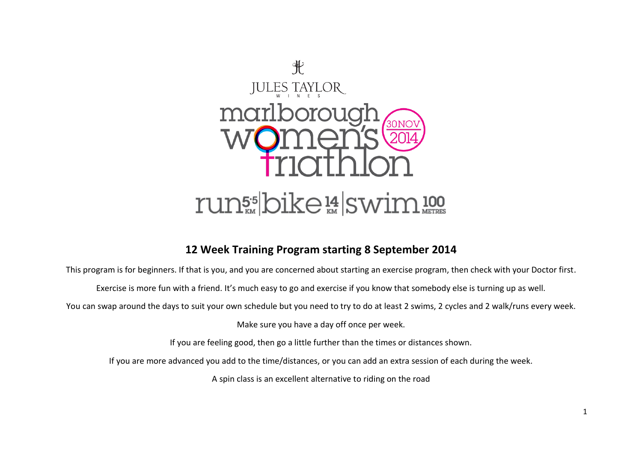

## **12 Week Training Program starting 8 September 2014**

This program is for beginners. If that is you, and you are concerned about starting an exercise program, then check with your Doctor first.

Exercise is more fun with a friend. It's much easy to go and exercise if you know that somebody else is turning up as well.

You can swap around the days to suit your own schedule but you need to try to do at least 2 swims, 2 cycles and 2 walk/runs every week.

Make sure you have a day off once per week.

If you are feeling good, then go a little further than the times or distances shown.

If you are more advanced you add to the time/distances, or you can add an extra session of each during the week.

A spin class is an excellent alternative to riding on the road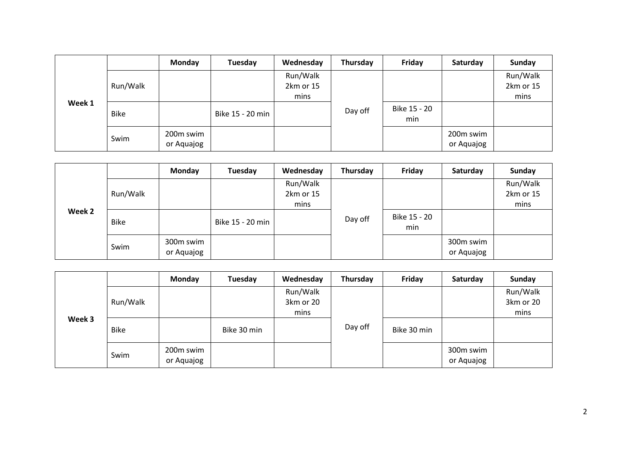| Week 1 |             | Monday                  | Tuesday          | Wednesday                     | Thursday | Friday              | Saturday                | Sunday                        |
|--------|-------------|-------------------------|------------------|-------------------------------|----------|---------------------|-------------------------|-------------------------------|
|        | Run/Walk    |                         |                  | Run/Walk<br>2km or 15<br>mins |          |                     |                         | Run/Walk<br>2km or 15<br>mins |
|        | <b>Bike</b> |                         | Bike 15 - 20 min |                               | Day off  | Bike 15 - 20<br>min |                         |                               |
|        | Swim        | 200m swim<br>or Aquajog |                  |                               |          |                     | 200m swim<br>or Aquajog |                               |

|        |             | <b>Monday</b>           | Tuesday          | Wednesday         | Thursday | Friday              | Saturday                | <b>Sunday</b>     |
|--------|-------------|-------------------------|------------------|-------------------|----------|---------------------|-------------------------|-------------------|
|        |             |                         |                  | Run/Walk          |          |                     |                         | Run/Walk          |
|        | Run/Walk    |                         |                  | 2km or 15<br>mins |          |                     |                         | 2km or 15<br>mins |
| Week 2 | <b>Bike</b> |                         | Bike 15 - 20 min |                   | Day off  | Bike 15 - 20<br>min |                         |                   |
|        | Swim        | 300m swim<br>or Aquajog |                  |                   |          |                     | 300m swim<br>or Aquajog |                   |

|        |             | Monday                  | Tuesday     | Wednesday                     | Thursday | Friday      | Saturday                | Sunday                        |
|--------|-------------|-------------------------|-------------|-------------------------------|----------|-------------|-------------------------|-------------------------------|
| Week 3 | Run/Walk    |                         |             | Run/Walk<br>3km or 20<br>mins |          |             |                         | Run/Walk<br>3km or 20<br>mins |
|        | <b>Bike</b> |                         | Bike 30 min |                               | Day off  | Bike 30 min |                         |                               |
|        | Swim        | 200m swim<br>or Aquajog |             |                               |          |             | 300m swim<br>or Aquajog |                               |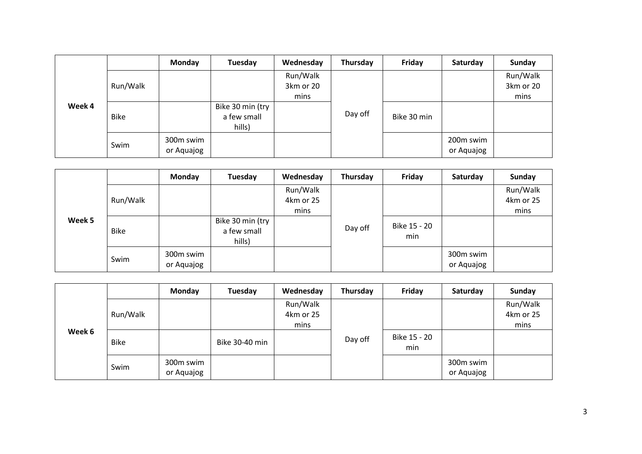|        |             | <b>Monday</b>           | Tuesday                                   | Wednesday                     | Thursday | Friday      | Saturday                | Sunday                        |
|--------|-------------|-------------------------|-------------------------------------------|-------------------------------|----------|-------------|-------------------------|-------------------------------|
|        | Run/Walk    |                         |                                           | Run/Walk<br>3km or 20<br>mins |          |             |                         | Run/Walk<br>3km or 20<br>mins |
| Week 4 | <b>Bike</b> |                         | Bike 30 min (try<br>a few small<br>hills) |                               | Day off  | Bike 30 min |                         |                               |
|        | Swim        | 300m swim<br>or Aquajog |                                           |                               |          |             | 200m swim<br>or Aquajog |                               |

|        |             | Monday                  | Tuesday                                   | Wednesday | Thursday | Friday              | Saturday                | Sunday    |
|--------|-------------|-------------------------|-------------------------------------------|-----------|----------|---------------------|-------------------------|-----------|
|        |             |                         |                                           | Run/Walk  |          |                     |                         | Run/Walk  |
|        | Run/Walk    |                         |                                           | 4km or 25 |          |                     |                         | 4km or 25 |
|        |             |                         |                                           | mins      |          |                     |                         | mins      |
| Week 5 | <b>Bike</b> |                         | Bike 30 min (try<br>a few small<br>hills) |           | Day off  | Bike 15 - 20<br>min |                         |           |
|        | Swim        | 300m swim<br>or Aquajog |                                           |           |          |                     | 300m swim<br>or Aquajog |           |

| Week 6 |             | Monday                  | Tuesday        | Wednesday                     | Thursday | Friday              | Saturday                | Sunday                        |
|--------|-------------|-------------------------|----------------|-------------------------------|----------|---------------------|-------------------------|-------------------------------|
|        | Run/Walk    |                         |                | Run/Walk<br>4km or 25<br>mins |          |                     |                         | Run/Walk<br>4km or 25<br>mins |
|        | <b>Bike</b> |                         | Bike 30-40 min |                               | Day off  | Bike 15 - 20<br>min |                         |                               |
|        | Swim        | 300m swim<br>or Aquajog |                |                               |          |                     | 300m swim<br>or Aquajog |                               |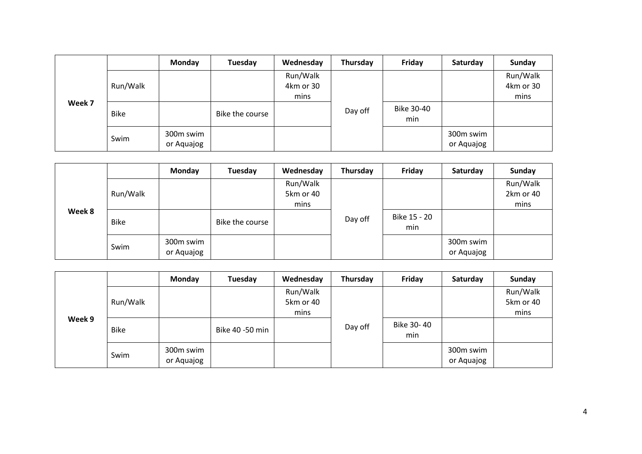| Week 7 |             | Monday                  | Tuesday         | Wednesday                     | Thursday | Friday            | Saturday                | Sunday                        |
|--------|-------------|-------------------------|-----------------|-------------------------------|----------|-------------------|-------------------------|-------------------------------|
|        | Run/Walk    |                         |                 | Run/Walk<br>4km or 30<br>mins |          |                   |                         | Run/Walk<br>4km or 30<br>mins |
|        | <b>Bike</b> |                         | Bike the course |                               | Day off  | Bike 30-40<br>min |                         |                               |
|        | Swim        | 300m swim<br>or Aquajog |                 |                               |          |                   | 300m swim<br>or Aquajog |                               |

| Week 8 |             | <b>Monday</b>           | Tuesday         | Wednesday             | Thursday | Friday              | Saturday                | Sunday                |
|--------|-------------|-------------------------|-----------------|-----------------------|----------|---------------------|-------------------------|-----------------------|
|        | Run/Walk    |                         |                 | Run/Walk<br>5km or 40 |          |                     |                         | Run/Walk<br>2km or 40 |
|        |             |                         |                 | mins                  |          |                     |                         | mins                  |
|        | <b>Bike</b> |                         | Bike the course |                       | Day off  | Bike 15 - 20<br>min |                         |                       |
|        | Swim        | 300m swim<br>or Aquajog |                 |                       |          |                     | 300m swim<br>or Aquajog |                       |

| Week 9 |             | Monday                  | Tuesday         | Wednesday                     | Thursday | Friday            | Saturday                | Sunday                        |
|--------|-------------|-------------------------|-----------------|-------------------------------|----------|-------------------|-------------------------|-------------------------------|
|        | Run/Walk    |                         |                 | Run/Walk<br>5km or 40<br>mins |          |                   |                         | Run/Walk<br>5km or 40<br>mins |
|        | <b>Bike</b> |                         | Bike 40 -50 min |                               | Day off  | Bike 30-40<br>min |                         |                               |
|        | Swim        | 300m swim<br>or Aquajog |                 |                               |          |                   | 300m swim<br>or Aquajog |                               |